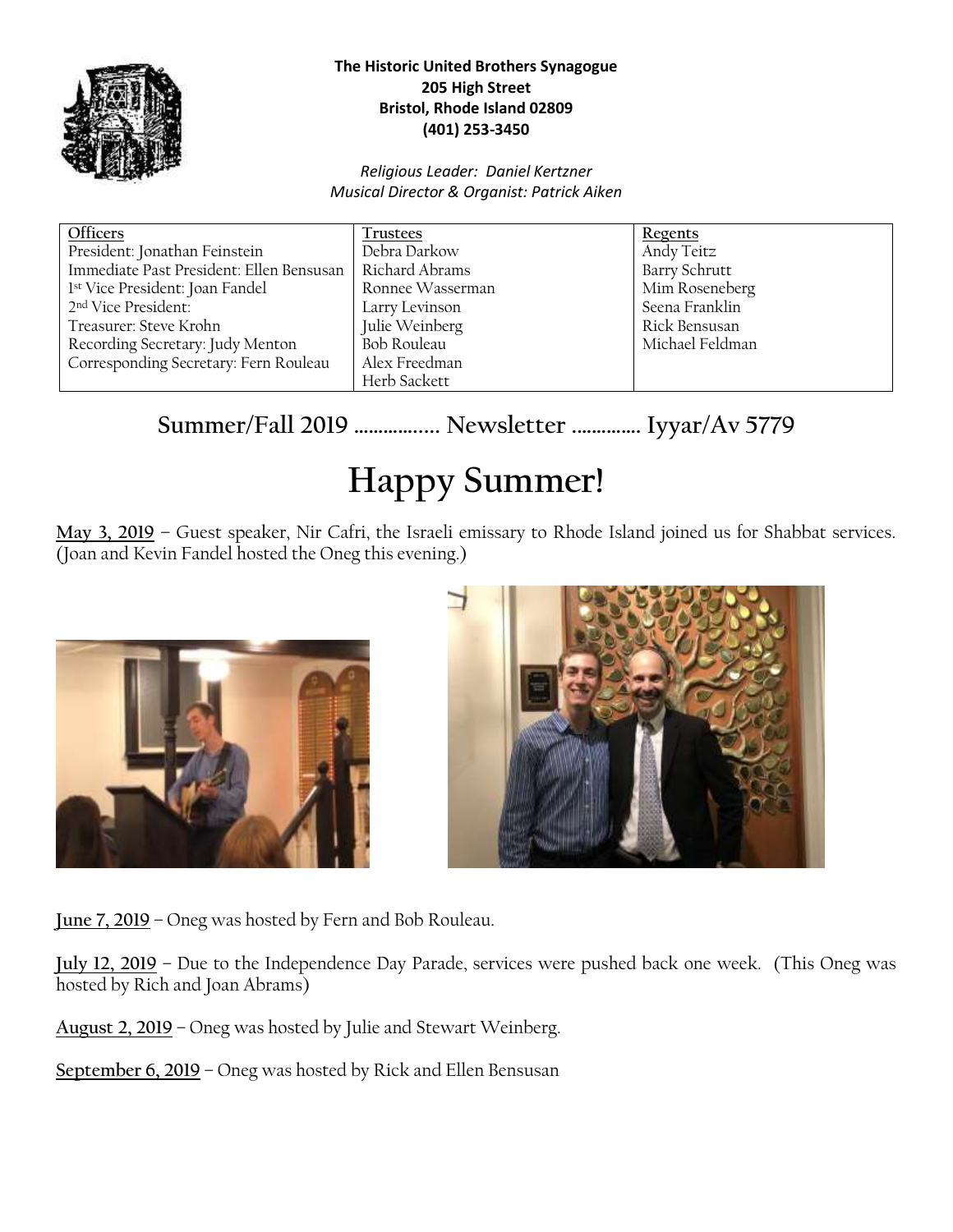

#### **The Historic United Brothers Synagogue 205 High Street Bristol, Rhode Island 02809 (401) 253-3450**

#### *Religious Leader: Daniel Kertzner Musical Director & Organist: Patrick Aiken*

| Officers                                 | Trustees         | <b>Regents</b>       |
|------------------------------------------|------------------|----------------------|
| President: Jonathan Feinstein            | Debra Darkow     | Andy Teitz           |
| Immediate Past President: Ellen Bensusan | Richard Abrams   | <b>Barry Schrutt</b> |
| 1st Vice President: Joan Fandel          | Ronnee Wasserman | Mim Roseneberg       |
| 2 <sup>nd</sup> Vice President:          | Larry Levinson   | Seena Franklin       |
| Treasurer: Steve Krohn                   | Julie Weinberg   | Rick Bensusan        |
| Recording Secretary: Judy Menton         | Bob Rouleau      | Michael Feldman      |
| Corresponding Secretary: Fern Rouleau    | Alex Freedman    |                      |
|                                          | Herb Sackett     |                      |

## **Summer/Fall 2019 …………..... Newsletter .…………. Iyyar/Av 5779**

# **Happy Summer!**

**May 3, 2019 –** Guest speaker, Nir Cafri, the Israeli emissary to Rhode Island joined us for Shabbat services. (Joan and Kevin Fandel hosted the Oneg this evening.)





**June 7, 2019** – Oneg was hosted by Fern and Bob Rouleau.

**July 12, 2019** – Due to the Independence Day Parade, services were pushed back one week. (This Oneg was hosted by Rich and Joan Abrams)

**August 2, 2019** – Oneg was hosted by Julie and Stewart Weinberg.

**September 6, 2019** – Oneg was hosted by Rick and Ellen Bensusan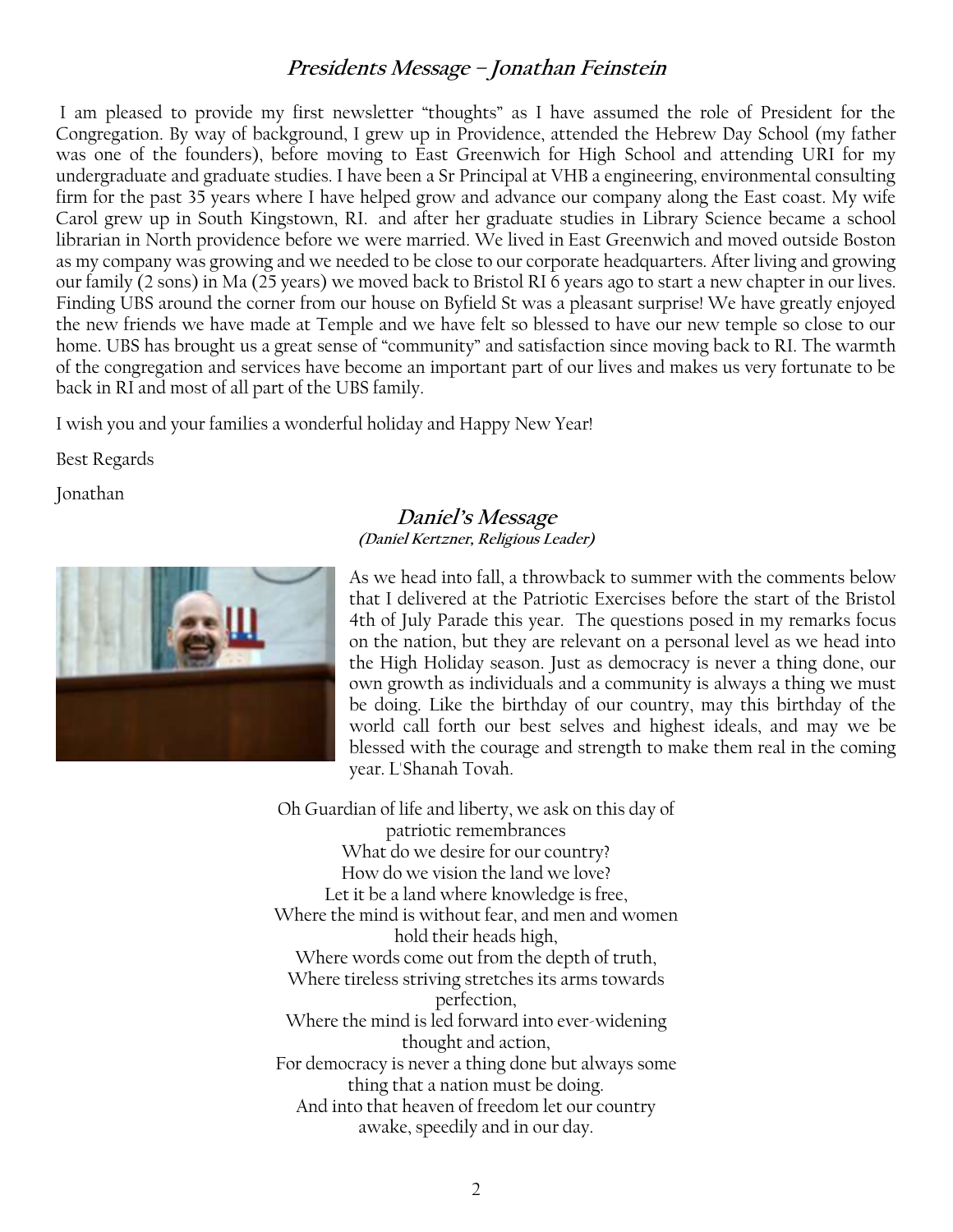#### **Presidents Message – Jonathan Feinstein**

I am pleased to provide my first newsletter "thoughts" as I have assumed the role of President for the Congregation. By way of background, I grew up in Providence, attended the Hebrew Day School (my father was one of the founders), before moving to East Greenwich for High School and attending URI for my undergraduate and graduate studies. I have been a Sr Principal at VHB a engineering, environmental consulting firm for the past 35 years where I have helped grow and advance our company along the East coast. My wife Carol grew up in South Kingstown, RI. and after her graduate studies in Library Science became a school librarian in North providence before we were married. We lived in East Greenwich and moved outside Boston as my company was growing and we needed to be close to our corporate headquarters. After living and growing our family (2 sons) in Ma (25 years) we moved back to Bristol RI 6 years ago to start a new chapter in our lives. Finding UBS around the corner from our house on Byfield St was a pleasant surprise! We have greatly enjoyed the new friends we have made at Temple and we have felt so blessed to have our new temple so close to our home. UBS has brought us a great sense of "community" and satisfaction since moving back to RI. The warmth of the congregation and services have become an important part of our lives and makes us very fortunate to be back in RI and most of all part of the UBS family.

I wish you and your families a wonderful holiday and Happy New Year!

Best Regards

Jonathan



#### **Daniel's Message (Daniel Kertzner, Religious Leader)**

As we head into fall, a throwback to summer with the comments below that I delivered at the Patriotic Exercises before the start of the Bristol 4th of July Parade this year. The questions posed in my remarks focus on the nation, but they are relevant on a personal level as we head into the High Holiday season. Just as democracy is never a thing done, our own growth as individuals and a community is always a thing we must be doing. Like the birthday of our country, may this birthday of the world call forth our best selves and highest ideals, and may we be blessed with the courage and strength to make them real in the coming year. L'Shanah Tovah.

Oh Guardian of life and liberty, we ask on this day of patriotic remembrances What do we desire for our country? How do we vision the land we love? Let it be a land where knowledge is free, Where the mind is without fear, and men and women hold their heads high, Where words come out from the depth of truth, Where tireless striving stretches its arms towards perfection, Where the mind is led forward into ever-widening thought and action, For democracy is never a thing done but always some thing that a nation must be doing. And into that heaven of freedom let our country awake, speedily and in our day.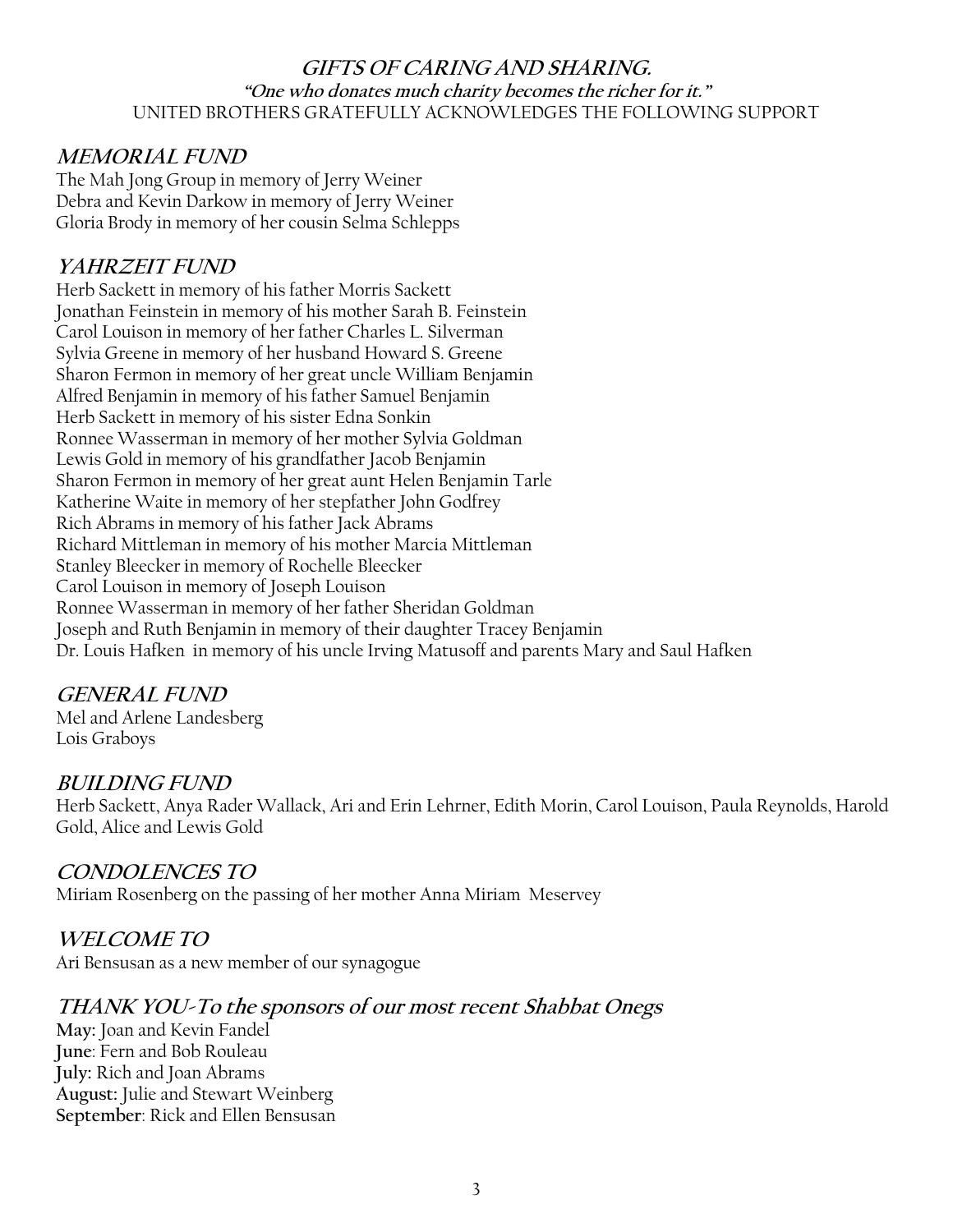#### **GIFTS OF CARING AND SHARING. "One who donates much charity becomes the richer for it."** UNITED BROTHERS GRATEFULLY ACKNOWLEDGES THE FOLLOWING SUPPORT

## **MEMORIAL FUND**

The Mah Jong Group in memory of Jerry Weiner Debra and Kevin Darkow in memory of Jerry Weiner Gloria Brody in memory of her cousin Selma Schlepps

## **YAHRZEIT FUND**

Herb Sackett in memory of his father Morris Sackett Jonathan Feinstein in memory of his mother Sarah B. Feinstein Carol Louison in memory of her father Charles L. Silverman Sylvia Greene in memory of her husband Howard S. Greene Sharon Fermon in memory of her great uncle William Benjamin Alfred Benjamin in memory of his father Samuel Benjamin Herb Sackett in memory of his sister Edna Sonkin Ronnee Wasserman in memory of her mother Sylvia Goldman Lewis Gold in memory of his grandfather Jacob Benjamin Sharon Fermon in memory of her great aunt Helen Benjamin Tarle Katherine Waite in memory of her stepfather John Godfrey Rich Abrams in memory of his father Jack Abrams Richard Mittleman in memory of his mother Marcia Mittleman Stanley Bleecker in memory of Rochelle Bleecker Carol Louison in memory of Joseph Louison Ronnee Wasserman in memory of her father Sheridan Goldman Joseph and Ruth Benjamin in memory of their daughter Tracey Benjamin Dr. Louis Hafken in memory of his uncle Irving Matusoff and parents Mary and Saul Hafken

#### **GENERAL FUND**

Mel and Arlene Landesberg Lois Graboys

#### **BUILDING FUND**

Herb Sackett, Anya Rader Wallack, Ari and Erin Lehrner, Edith Morin, Carol Louison, Paula Reynolds, Harold Gold, Alice and Lewis Gold

#### **CONDOLENCES TO**

Miriam Rosenberg on the passing of her mother Anna Miriam Meservey

## **WELCOME TO**

Ari Bensusan as a new member of our synagogue

## **THANK YOU-To the sponsors of our most recent Shabbat Onegs**

**May:** Joan and Kevin Fandel **June**: Fern and Bob Rouleau **July:** Rich and Joan Abrams **August:** Julie and Stewart Weinberg **September**: Rick and Ellen Bensusan